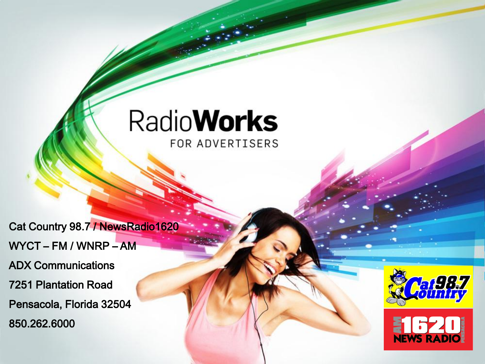#### **RadioWorks** FOR ADVERTISERS

Cat Country 98.7 / NewsRadio1620 WYCT – FM / WNRP – AM ADX Communications 7251 Plantation Road Pensacola, Florida 32504 850.262.6000



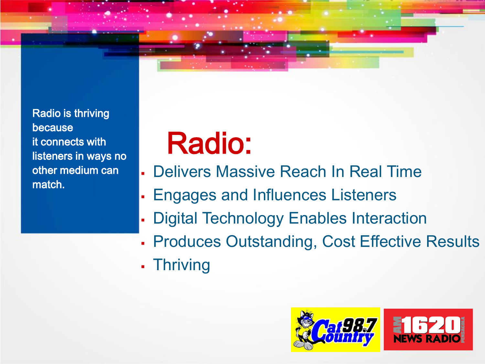Radio is thriving because it connects with listeners in ways no other medium can match.

## Radio:

- Delivers Massive Reach In Real Time
- Engages and Influences Listeners
- Digital Technology Enables Interaction
- **Produces Outstanding, Cost Effective Results**
- Thriving

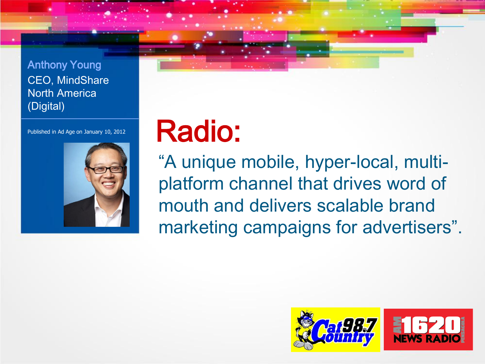



## Published in Ad Age on January 10, 2012 Radio:

"A unique mobile, hyper-local, multiplatform channel that drives word of mouth and delivers scalable brand marketing campaigns for advertisers".

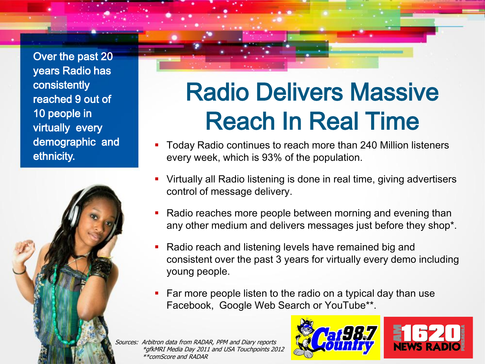Over the past 20 years Radio has consistently reached 9 out of 10 people in virtually every demographic and ethnicity.



### Radio Delivers Massive Reach In Real Time

- Today Radio continues to reach more than 240 Million listeners every week, which is 93% of the population.
- Virtually all Radio listening is done in real time, giving advertisers control of message delivery.
- Radio reaches more people between morning and evening than any other medium and delivers messages just before they shop\*.
- Radio reach and listening levels have remained big and consistent over the past 3 years for virtually every demo including young people.
- Far more people listen to the radio on a typical day than use Facebook, Google Web Search or YouTube\*\*.

Sources: Arbitron data from RADAR, PPM and Diary reports \*gfkMRI Media Day 2011 and USA Touchpoints 2012 \*\*comScore and RADAR

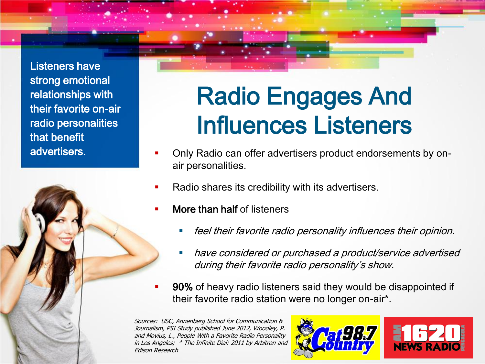Listeners have strong emotional relationships with their favorite on-air radio personalities that benefit advertisers.



### Radio Engages And Influences Listeners

- Only Radio can offer advertisers product endorsements by onair personalities.
- Radio shares its credibility with its advertisers.
- More than half of listeners
	- feel their favorite radio personality influences their opinion.
	- have considered or purchased a product/service advertised during their favorite radio personality's show.
- 90% of heavy radio listeners said they would be disappointed if their favorite radio station were no longer on-air\*.

Sources: USC, Annenberg School for Communication & Journalism, PSI Study published June 2012, Woodley, P. and Movius, L., People With a Favorite Radio Personality in Los Angeles; \* The Infinite Dial: 2011 by Arbitron and Edison Research

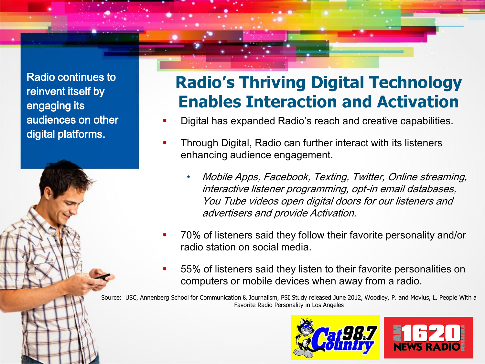Radio continues to reinvent itself by engaging its audiences on other digital platforms.

#### **Radio's Thriving Digital Technology Enables Interaction and Activation**

- Digital has expanded Radio's reach and creative capabilities.
- Through Digital, Radio can further interact with its listeners enhancing audience engagement.
	- Mobile Apps, Facebook, Texting, Twitter, Online streaming, interactive listener programming, opt-in email databases, You Tube videos open digital doors for our listeners and advertisers and provide Activation.
- 70% of listeners said they follow their favorite personality and/or radio station on social media.
- 55% of listeners said they listen to their favorite personalities on computers or mobile devices when away from a radio.

Source: USC, Annenberg School for Communication & Journalism, PSI Study released June 2012, Woodley, P. and Movius, L. People With a Favorite Radio Personality in Los Angeles

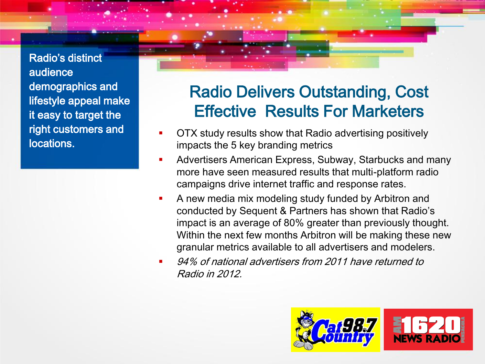Radio's distinct audience demographics and lifestyle appeal make it easy to target the right customers and locations.

#### Radio Delivers Outstanding, Cost Effective Results For Marketers

- OTX study results show that Radio advertising positively impacts the 5 key branding metrics
- Advertisers American Express, Subway, Starbucks and many more have seen measured results that multi-platform radio campaigns drive internet traffic and response rates.
- A new media mix modeling study funded by Arbitron and conducted by Sequent & Partners has shown that Radio's impact is an average of 80% greater than previously thought. Within the next few months Arbitron will be making these new granular metrics available to all advertisers and modelers.
- 94% of national advertisers from 2011 have returned to Radio in 2012.

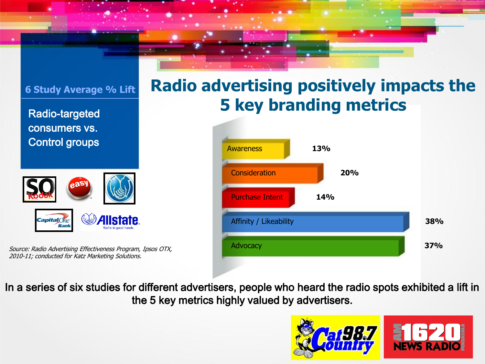#### **6 Study Average % Lift** Radio-targeted consumers vs. Control groups  $\mathsf{CapitalOne}$ STATA

Source: Radio Advertising Effectiveness Program, Ipsos OTX, 2010-11; conducted for Katz Marketing Solutions.

Bank





In a series of six studies for different advertisers, people who heard the radio spots exhibited a lift in the 5 key metrics highly valued by advertisers.